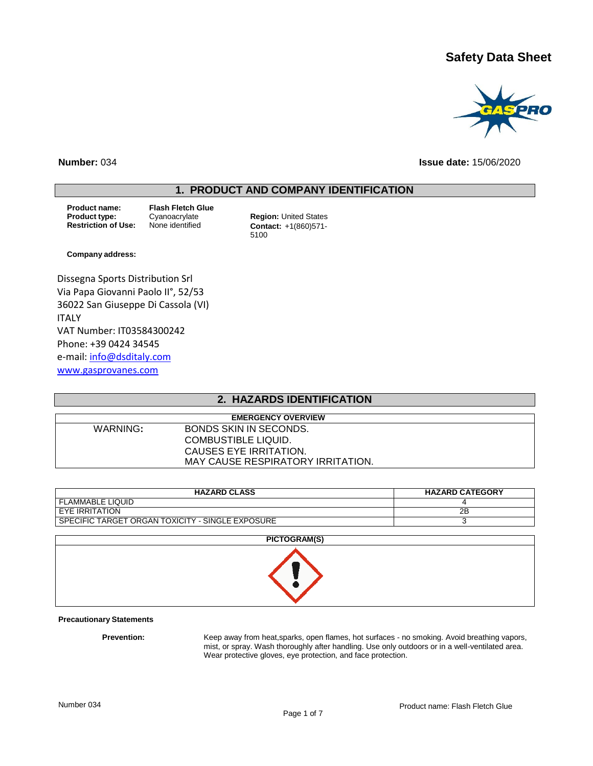# **Safety Data Sheet**



**Number:** 034 **Issue date:** 15/06/2020

## **1. PRODUCT AND COMPANY IDENTIFICATION**

**Product name: Flash Fletch Glue**

**Product type:** Cyanoacrylate **Region:** United States<br> **Restriction of Use:** None identified **Contact:** +1(860)571-**Contact:** +1(860)571-5100

#### **Company address:**

Dissegna Sports Distribution Srl Via Papa Giovanni Paolo II°, 52/53 36022 San Giuseppe Di Cassola (VI) ITALY VAT Number: IT03584300242 Phone: +39 0424 34545 e-mail[: info@dsditaly.com](mailto:info@dsditaly.com) [www.gasprovanes.com](http://www.gasprovanes.com/)

## **2. HAZARDS IDENTIFICATION**

| <b>EMERGENCY OVERVIEW</b> |                                   |  |  |
|---------------------------|-----------------------------------|--|--|
| WARNING:                  | BONDS SKIN IN SECONDS.            |  |  |
|                           | COMBUSTIBLE LIQUID.               |  |  |
|                           | CAUSES EYE IRRITATION.            |  |  |
|                           | MAY CAUSE RESPIRATORY IRRITATION. |  |  |

| <b>HAZARD CLASS</b>                              | <b>HAZARD CATEGORY</b> |
|--------------------------------------------------|------------------------|
| <b>FLAMMABLE LIQUID</b>                          |                        |
| EYE IRRITATION                                   | 2Β                     |
| SPECIFIC TARGET ORGAN TOXICITY - SINGLE EXPOSURE |                        |

| PICTOGRAM(S) |
|--------------|
|              |

#### **Precautionary Statements**

Prevention: Keep away from heat, sparks, open flames, hot surfaces - no smoking. Avoid breathing vapors, mist, or spray. Wash thoroughly after handling. Use only outdoors or in a well-ventilated area. Wear protective gloves, eye protection, and face protection.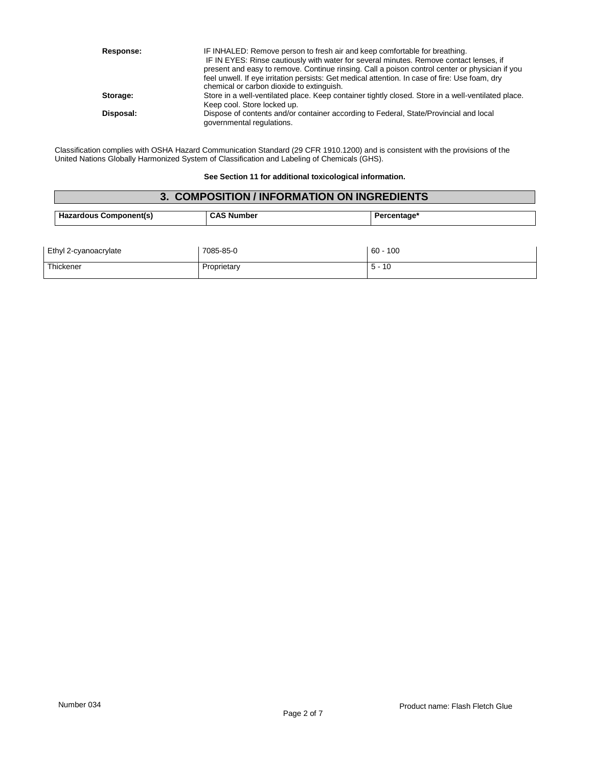| Response: | IF INHALED: Remove person to fresh air and keep comfortable for breathing.<br>IF IN EYES: Rinse cautiously with water for several minutes. Remove contact lenses, if<br>present and easy to remove. Continue rinsing. Call a poison control center or physician if you<br>feel unwell. If eye irritation persists: Get medical attention. In case of fire: Use foam, dry<br>chemical or carbon dioxide to extinguish. |
|-----------|-----------------------------------------------------------------------------------------------------------------------------------------------------------------------------------------------------------------------------------------------------------------------------------------------------------------------------------------------------------------------------------------------------------------------|
| Storage:  | Store in a well-ventilated place. Keep container tightly closed. Store in a well-ventilated place.<br>Keep cool. Store locked up.                                                                                                                                                                                                                                                                                     |
| Disposal: | Dispose of contents and/or container according to Federal, State/Provincial and local<br>governmental regulations.                                                                                                                                                                                                                                                                                                    |

Classification complies with OSHA Hazard Communication Standard (29 CFR 1910.1200) and is consistent with the provisions of the United Nations Globally Harmonized System of Classification and Labeling of Chemicals (GHS).

**See Section 11 for additional toxicological information.**

| 3. COMPOSITION / INFORMATION ON INGREDIENTS |                   |             |  |
|---------------------------------------------|-------------------|-------------|--|
| <b>Hazardous Component(s)</b>               | <b>CAS Number</b> | Percentage* |  |
|                                             |                   |             |  |
| Ethyl 2-cyanoacrylate                       | 7085-85-0         | $60 - 100$  |  |
| Thickener                                   | Proprietary       | $5 - 10$    |  |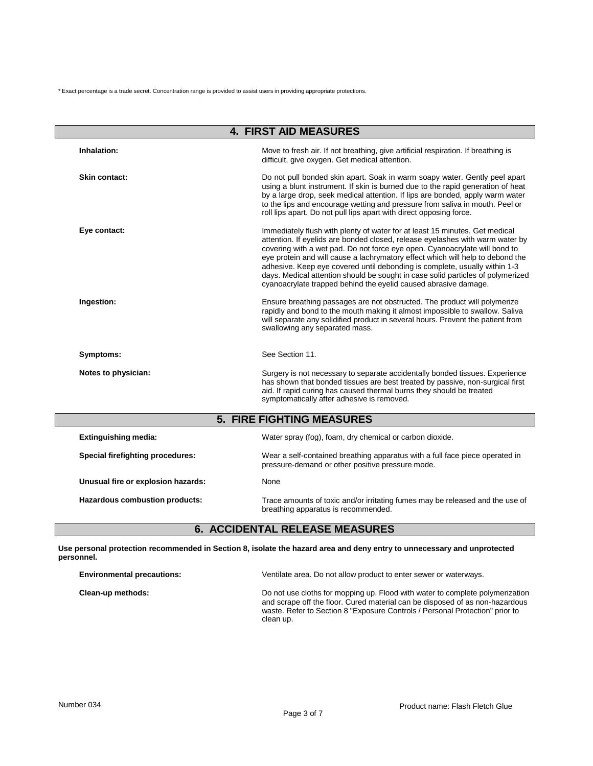\* Exact percentage is a trade secret. Concentration range is provided to assist users in providing appropriate protections.

|                                         | <b>4. FIRST AID MEASURES</b>                                                                                                                                                                                                                                                                                                                                                                                                                                                                                                                                     |
|-----------------------------------------|------------------------------------------------------------------------------------------------------------------------------------------------------------------------------------------------------------------------------------------------------------------------------------------------------------------------------------------------------------------------------------------------------------------------------------------------------------------------------------------------------------------------------------------------------------------|
| Inhalation:                             | Move to fresh air. If not breathing, give artificial respiration. If breathing is<br>difficult, give oxygen. Get medical attention.                                                                                                                                                                                                                                                                                                                                                                                                                              |
| Skin contact:                           | Do not pull bonded skin apart. Soak in warm soapy water. Gently peel apart<br>using a blunt instrument. If skin is burned due to the rapid generation of heat<br>by a large drop, seek medical attention. If lips are bonded, apply warm water<br>to the lips and encourage wetting and pressure from saliva in mouth. Peel or<br>roll lips apart. Do not pull lips apart with direct opposing force.                                                                                                                                                            |
| Eye contact:                            | Immediately flush with plenty of water for at least 15 minutes. Get medical<br>attention. If eyelids are bonded closed, release eyelashes with warm water by<br>covering with a wet pad. Do not force eye open. Cyanoacrylate will bond to<br>eye protein and will cause a lachrymatory effect which will help to debond the<br>adhesive. Keep eye covered until debonding is complete, usually within 1-3<br>days. Medical attention should be sought in case solid particles of polymerized<br>cyanoacrylate trapped behind the eyelid caused abrasive damage. |
| Ingestion:                              | Ensure breathing passages are not obstructed. The product will polymerize<br>rapidly and bond to the mouth making it almost impossible to swallow. Saliva<br>will separate any solidified product in several hours. Prevent the patient from<br>swallowing any separated mass.                                                                                                                                                                                                                                                                                   |
| Symptoms:                               | See Section 11.                                                                                                                                                                                                                                                                                                                                                                                                                                                                                                                                                  |
| Notes to physician:                     | Surgery is not necessary to separate accidentally bonded tissues. Experience<br>has shown that bonded tissues are best treated by passive, non-surgical first<br>aid. If rapid curing has caused thermal burns they should be treated<br>symptomatically after adhesive is removed.                                                                                                                                                                                                                                                                              |
|                                         | <b>5. FIRE FIGHTING MEASURES</b>                                                                                                                                                                                                                                                                                                                                                                                                                                                                                                                                 |
| <b>Extinguishing media:</b>             | Water spray (fog), foam, dry chemical or carbon dioxide.                                                                                                                                                                                                                                                                                                                                                                                                                                                                                                         |
| <b>Special firefighting procedures:</b> | Wear a self-contained breathing apparatus with a full face piece operated in<br>pressure-demand or other positive pressure mode.                                                                                                                                                                                                                                                                                                                                                                                                                                 |
| Unusual fire or explosion hazards:      | None                                                                                                                                                                                                                                                                                                                                                                                                                                                                                                                                                             |
| Hazardous combustion products:          | Trace amounts of toxic and/or irritating fumes may be released and the use of<br>breathing apparatus is recommended.                                                                                                                                                                                                                                                                                                                                                                                                                                             |

# **6. ACCIDENTAL RELEASE MEASURES**

**Use personal protection recommended in Section 8, isolate the hazard area and deny entry to unnecessary and unprotected personnel.**

| <b>Environmental precautions:</b> | Ventilate area. Do not allow product to enter sewer or waterways.                                                                                                                                                                                          |
|-----------------------------------|------------------------------------------------------------------------------------------------------------------------------------------------------------------------------------------------------------------------------------------------------------|
| Clean-up methods:                 | Do not use cloths for mopping up. Flood with water to complete polymerization<br>and scrape off the floor. Cured material can be disposed of as non-hazardous<br>waste. Refer to Section 8 "Exposure Controls / Personal Protection" prior to<br>clean up. |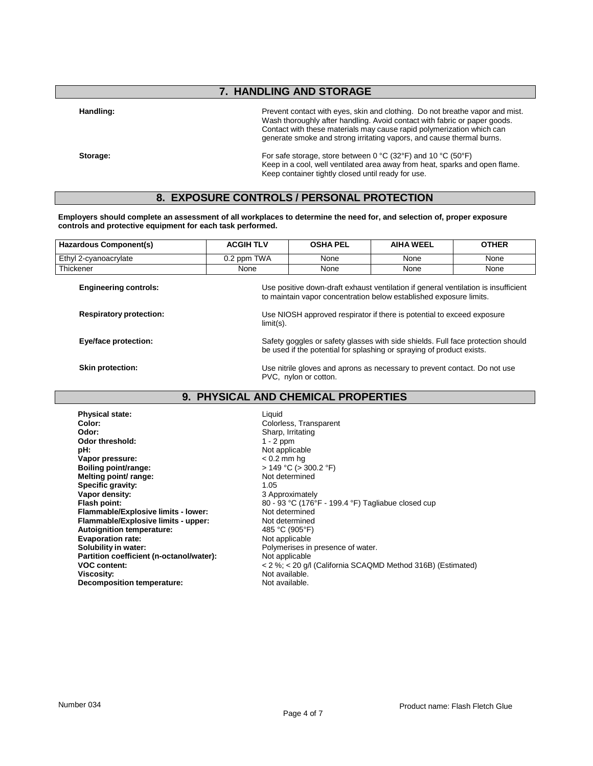## **7. HANDLING AND STORAGE**

Handling: **Handling: Prevent contact with eyes, skin and clothing.** Do not breathe vapor and mist. Wash thoroughly after handling. Avoid contact with fabric or paper goods. Contact with these materials may cause rapid polymerization which can generate smoke and strong irritating vapors, and cause thermal burns.

**Storage:** For safe storage, store between 0 °C (32°F) and 10 °C (50°F) Keep in a cool, well ventilated area away from heat, sparks and open flame. Keep container tightly closed until ready for use.

### **8. EXPOSURE CONTROLS / PERSONAL PROTECTION**

**Employers should complete an assessment of all workplaces to determine the need for, and selection of, proper exposure controls and protective equipment for each task performed.**

| Hazardous Component(s) | <b>ACGIH TLV</b> | <b>OSHA PEL</b> | <b>AIHA WEEL</b> | OTHER |
|------------------------|------------------|-----------------|------------------|-------|
| Ethyl 2-cvanoacrylate  | 0.2 ppm TWA      | None            | None             | None  |
| Thickener              | None             | None            | None             | None  |
|                        |                  |                 |                  |       |

**Engineering controls:** Use positive down-draft exhaust ventilation if general ventilation is insufficient to maintain vapor concentration below established exposure limits.

**Respiratory protection:** Use NIOSH approved respirator if there is potential to exceed exposure limit(s).

**Eye/face protection:** Safety goggles or safety glasses with side shields. Full face protection should Safety and Safety goggles or safety glasses with side shields. Full face protection should be used if the potential for splashing or spraying of product exists.

**Skin protection:** Use nitrile gloves and aprons as necessary to prevent contact. Do not use PVC, nylon or cotton.

## **9. PHYSICAL AND CHEMICAL PROPERTIES**

**Physical state:** Liquid **Color:** Colorless, Transparent<br> **Color:** Color Color: Color Color: Color: Color: Color: Color: Color: Color: Color: Color: Color: Color: Color: Color: Color: Color: Color: Color: Color: Color: Color: Color: Color: Color: **Odor** threshold: 1 - 2 ppm **pH:**<br> **Vapor pressure:**<br>
Vapor pressure:<br>  $\leq 0.2 \text{ mm h}$ g **Vapor pressure:**<br>Boiling point/range: **Melting** point/ range: **Specific gravity:** 1.05<br> **Vapor density:** 2.05 **Vapor density:**<br> **Flash point:**<br> **SO** - 93 °C (176°) **Flammable/Explosive limits - lower:** Not determined<br> **Flammable/Explosive limits - upper:** Not determined **Flammable/Explosive limits - upper:** Not determined<br> **Autoignition temperature:** 485 °C (905°F) **Autoignition temperature:** 485 °C (905 °F)<br> **Evaporation rate:** Not applicable **Evaporation rate:**<br>Solubility in water: **Partition coefficient (n-octanol/water):**<br>VOC content: **Viscosity:**<br> **Decomposition temperature:**<br> **Decomposition temperature:**<br> **Not available. Decomposition temperature:** 

**Odor:** Sharp, Irritating **Boiling point/range:** > 149 °C (> 300.2 °F) **Flash point:** 80 - 93 °C (176°F - 199.4 °F) Tagliabue closed cup Polymerises in presence of water.<br>Not applicable **VOC content:** < 2 %; < 20 g/l (California SCAQMD Method 316B) (Estimated)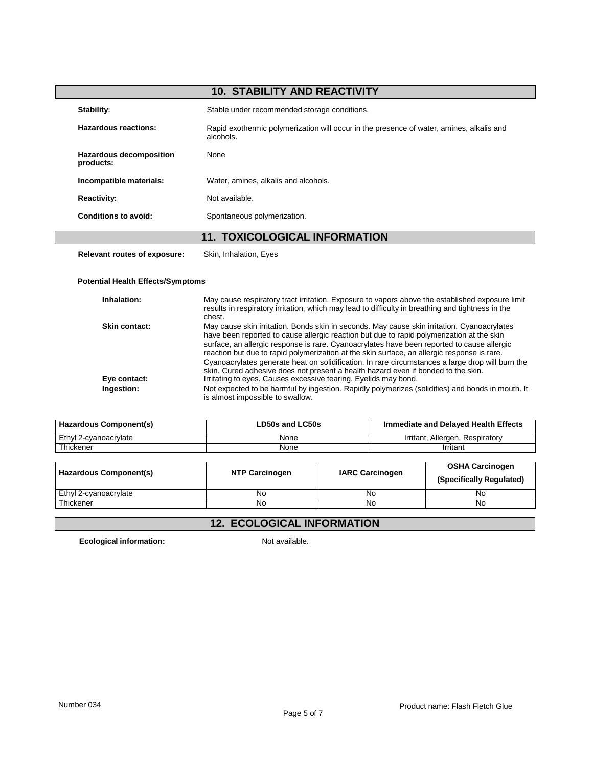| <b>10. STABILITY AND REACTIVITY</b>  |                                                                                                       |  |  |
|--------------------------------------|-------------------------------------------------------------------------------------------------------|--|--|
| Stability:                           | Stable under recommended storage conditions.                                                          |  |  |
| <b>Hazardous reactions:</b>          | Rapid exothermic polymerization will occur in the presence of water, amines, alkalis and<br>alcohols. |  |  |
| Hazardous decomposition<br>products: | None                                                                                                  |  |  |
| Incompatible materials:              | Water, amines, alkalis and alcohols.                                                                  |  |  |
| <b>Reactivity:</b>                   | Not available.                                                                                        |  |  |
| <b>Conditions to avoid:</b>          | Spontaneous polymerization.                                                                           |  |  |
| <b>11. TOXICOLOGICAL INFORMATION</b> |                                                                                                       |  |  |
| <b>Relevant routes of exposure:</b>  | Skin, Inhalation, Eyes                                                                                |  |  |

### **Potential Health Effects/Symptoms**

| Inhalation:          | May cause respiratory tract irritation. Exposure to vapors above the established exposure limit<br>results in respiratory irritation, which may lead to difficulty in breathing and tightness in the<br>chest.                                                                                                                                                                                                                                                                                                                                                                 |
|----------------------|--------------------------------------------------------------------------------------------------------------------------------------------------------------------------------------------------------------------------------------------------------------------------------------------------------------------------------------------------------------------------------------------------------------------------------------------------------------------------------------------------------------------------------------------------------------------------------|
| <b>Skin contact:</b> | May cause skin irritation. Bonds skin in seconds. May cause skin irritation. Cyanoacrylates<br>have been reported to cause allergic reaction but due to rapid polymerization at the skin<br>surface, an allergic response is rare. Cyanoacrylates have been reported to cause allergic<br>reaction but due to rapid polymerization at the skin surface, an allergic response is rare.<br>Cyanoacrylates generate heat on solidification. In rare circumstances a large drop will burn the<br>skin. Cured adhesive does not present a health hazard even if bonded to the skin. |
| Eye contact:         | Irritating to eyes. Causes excessive tearing. Eyelids may bond.                                                                                                                                                                                                                                                                                                                                                                                                                                                                                                                |
| Ingestion:           | Not expected to be harmful by ingestion. Rapidly polymerizes (solidifies) and bonds in mouth. It<br>is almost impossible to swallow.                                                                                                                                                                                                                                                                                                                                                                                                                                           |

| <b>Hazardous Component(s)</b> | LD50s and LC50s | Immediate and Delayed Health Effects |
|-------------------------------|-----------------|--------------------------------------|
| Ethyl 2-cvanoacrylate         | None            | Irritant, Allergen, Respiratory      |
| Thickener                     | None            | Irritant                             |

| Hazardous Component(s) | <b>NTP Carcinogen</b> | <b>IARC Carcinogen</b> | <b>OSHA Carcinogen</b><br>(Specifically Regulated) |
|------------------------|-----------------------|------------------------|----------------------------------------------------|
| Ethyl 2-cyanoacrylate  | No                    | No                     | No                                                 |
| Thickener              | No                    | No                     | No                                                 |

# **12. ECOLOGICAL INFORMATION**

**Ecological information:** Not available.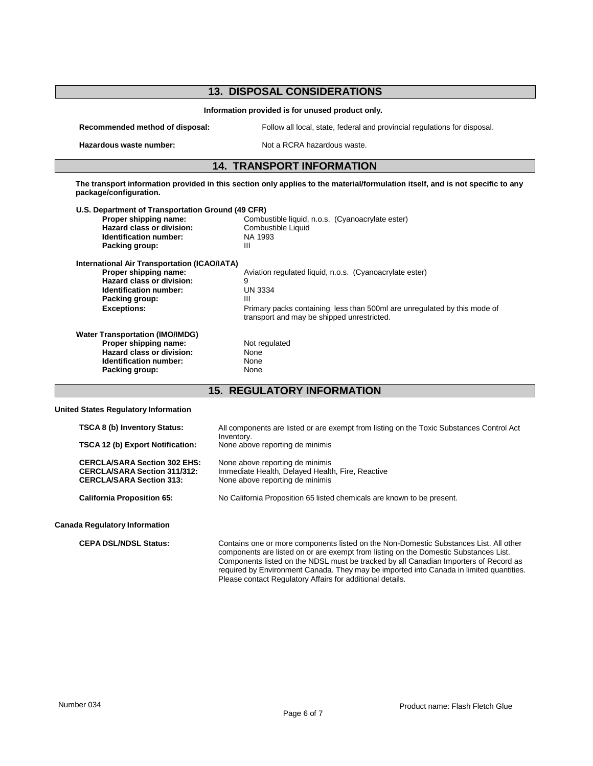| <b>13. DISPOSAL CONSIDERATIONS</b>                                                                                                                                                 |                                                                                                                                                                                                               |
|------------------------------------------------------------------------------------------------------------------------------------------------------------------------------------|---------------------------------------------------------------------------------------------------------------------------------------------------------------------------------------------------------------|
| Information provided is for unused product only.                                                                                                                                   |                                                                                                                                                                                                               |
| Recommended method of disposal:                                                                                                                                                    | Follow all local, state, federal and provincial regulations for disposal.                                                                                                                                     |
| Hazardous waste number:                                                                                                                                                            | Not a RCRA hazardous waste.                                                                                                                                                                                   |
| <b>14. TRANSPORT INFORMATION</b>                                                                                                                                                   |                                                                                                                                                                                                               |
| The transport information provided in this section only applies to the material/formulation itself, and is not specific to any<br>package/configuration.                           |                                                                                                                                                                                                               |
| U.S. Department of Transportation Ground (49 CFR)<br>Proper shipping name:<br>Hazard class or division:<br>Identification number:<br>Packing group:                                | Combustible liquid, n.o.s. (Cyanoacrylate ester)<br>Combustible Liquid<br>NA 1993<br>Ш                                                                                                                        |
| <b>International Air Transportation (ICAO/IATA)</b><br>Proper shipping name:<br><b>Hazard class or division:</b><br>Identification number:<br>Packing group:<br><b>Exceptions:</b> | Aviation regulated liquid, n.o.s. (Cyanoacrylate ester)<br>9<br><b>UN 3334</b><br>Ш<br>Primary packs containing less than 500ml are unregulated by this mode of<br>transport and may be shipped unrestricted. |
| <b>Water Transportation (IMO/IMDG)</b><br>Proper shipping name:<br>Hazard class or division:<br><b>Identification number:</b><br>Packing group:                                    | Not regulated<br>None<br>None<br>None                                                                                                                                                                         |
| <b>15. REGULATORY INFORMATION</b>                                                                                                                                                  |                                                                                                                                                                                                               |
| <b>United States Regulatory Information</b>                                                                                                                                        |                                                                                                                                                                                                               |
| TSCA 8 (b) Inventory Status:                                                                                                                                                       | All components are listed or are exempt from listing on the Toxic Substances Control Act<br>Inventory.                                                                                                        |
| TSCA 12 (b) Export Notification:<br><b>CERCLA/SARA Section 302 EHS:</b><br><b>CERCLA/SARA Section 311/312:</b><br><b>CERCLA/SARA Section 313:</b>                                  | None above reporting de minimis<br>None above reporting de minimis<br>Immediate Health, Delayed Health, Fire, Reactive<br>None above reporting de minimis                                                     |
| <b>California Proposition 65:</b>                                                                                                                                                  | No California Proposition 65 listed chemicals are known to be present.                                                                                                                                        |

**Canada Regulatory Information**

**CEPA DSL/NDSL Status:** Contains one or more components listed on the Non-Domestic Substances List. All other components are listed on or are exempt from listing on the Domestic Substances List. Components listed on the NDSL must be tracked by all Canadian Importers of Record as required by Environment Canada. They may be imported into Canada in limited quantities. Please contact Regulatory Affairs for additional details.